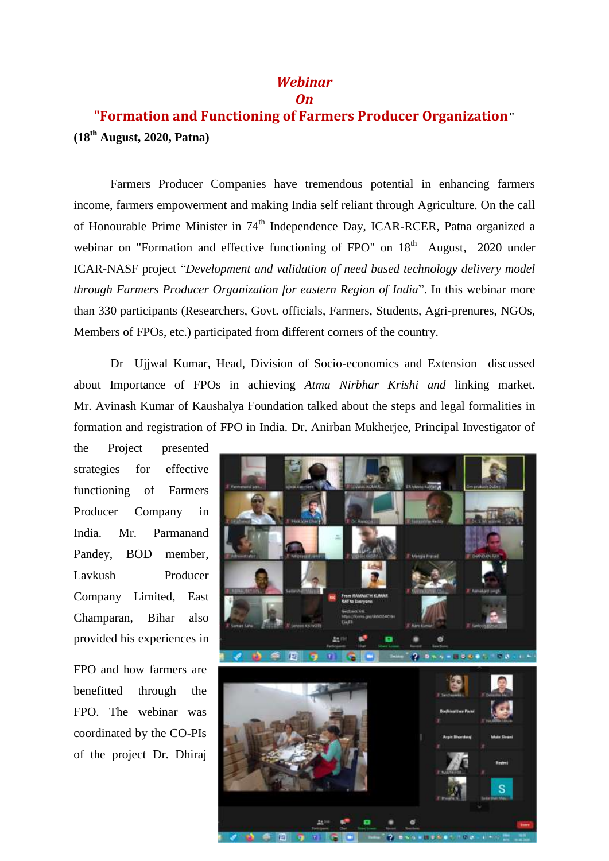## *Webinar On*

## **"Formation and Functioning of Farmers Producer Organization" (18th August, 2020, Patna)**

Farmers Producer Companies have tremendous potential in enhancing farmers income, farmers empowerment and making India self reliant through Agriculture. On the call of Honourable Prime Minister in 74<sup>th</sup> Independence Day, ICAR-RCER, Patna organized a webinar on "Formation and effective functioning of FPO" on  $18<sup>th</sup>$  August, 2020 under ICAR-NASF project "*Development and validation of need based technology delivery model through Farmers Producer Organization for eastern Region of India*". In this webinar more than 330 participants (Researchers, Govt. officials, Farmers, Students, Agri-prenures, NGOs, Members of FPOs, etc.) participated from different corners of the country.

Dr Ujjwal Kumar, Head, Division of Socio-economics and Extension discussed about Importance of FPOs in achieving *Atma Nirbhar Krishi and* linking market*.* Mr. Avinash Kumar of Kaushalya Foundation talked about the steps and legal formalities in formation and registration of FPO in India. Dr. Anirban Mukherjee, Principal Investigator of

the Project presented strategies for effective functioning of Farmers Producer Company in India. Mr. Parmanand Pandey, BOD member, Lavkush Producer Company Limited, East Champaran, Bihar also provided his experiences in

FPO and how farmers are benefitted through the FPO. The webinar was coordinated by the CO-PIs of the project Dr. Dhiraj